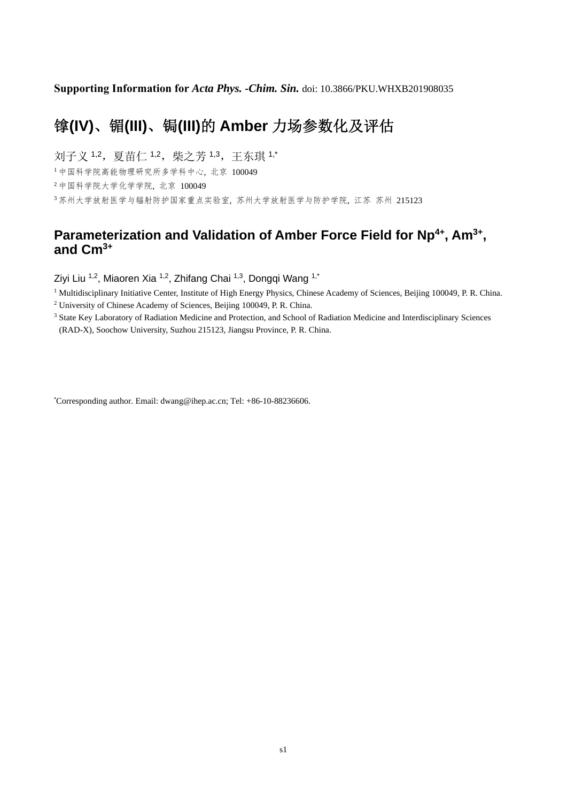**Supporting Information for** *Acta Phys. -Chim. Sin.* doi: 10.3866/PKU.WHXB201908035

## 镎**(IV)**、镅**(III)**、锔**(III)**的 **Amber** 力场参数化及评估

刘子义 1,2, 夏苗仁 1,2, 柴之芳 1,3, 王东琪 1,\*

<sup>1</sup>中国科学院高能物理研究所多学科中心, 北京 100049

<sup>2</sup>中国科学院大学化学学院, 北京 100049

<sup>3</sup>苏州大学放射医学与辐射防护国家重点实验室, 苏州大学放射医学与防护学院, 江苏 苏州 215123

## Parameterization and Validation of Amber Force Field for Np<sup>4+</sup>, Am<sup>3+</sup>, **and Cm3+**

Ziyi Liu 1,2, Miaoren Xia 1,2, Zhifang Chai 1,3, Dongqi Wang 1,\*

<sup>1</sup> Multidisciplinary Initiative Center, Institute of High Energy Physics, Chinese Academy of Sciences, Beijing 100049, P. R. China.

2 University of Chinese Academy of Sciences, Beijing 100049, P. R. China.

<sup>3</sup> State Key Laboratory of Radiation Medicine and Protection, and School of Radiation Medicine and Interdisciplinary Sciences (RAD-X), Soochow University, Suzhou 215123, Jiangsu Province, P. R. China.

\* Corresponding author. Email: dwang@ihep.ac.cn; Tel: +86-10-88236606.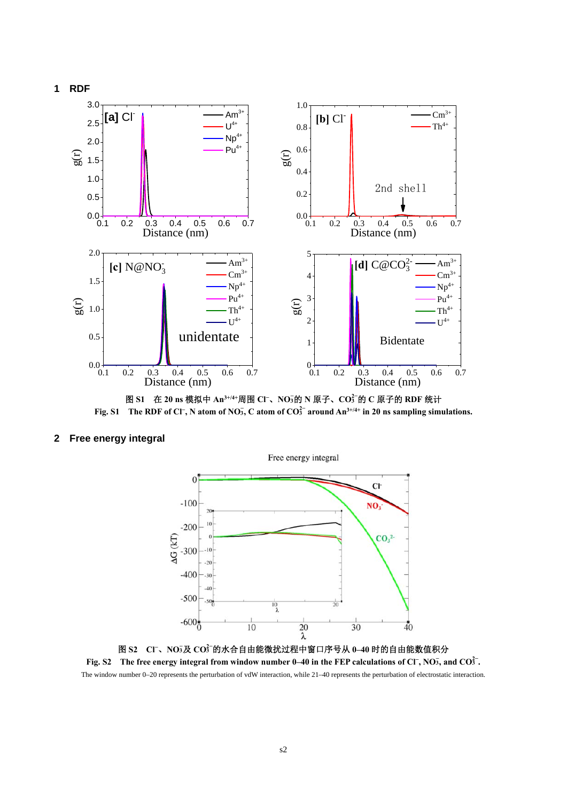

**Fig. S1** The RDF of Cl<sup>-</sup>, N atom of NO<sub>3</sub>, C atom of CO<sup>2<sup> $-$ </sup> around An<sup>3+/4+</sup> in 20 ns sampling simulations.</sup>

## **2 Free energy integral**



图 **S2 Cl<sup>−</sup>**、**NO3 −** 及 **CO3 2−** 的水合自由能微扰过程中窗口序号从 **0–40** 时的自由能数值积分 **Fig. S2** The free energy integral from window number 0–40 in the FEP calculations of Cl<sup>-</sup>, NO<sub>3</sub>, and CO $3^2$ . The window number 0–20 represents the perturbation of vdW interaction, while 21–40 represents the perturbation of electrostatic interaction.